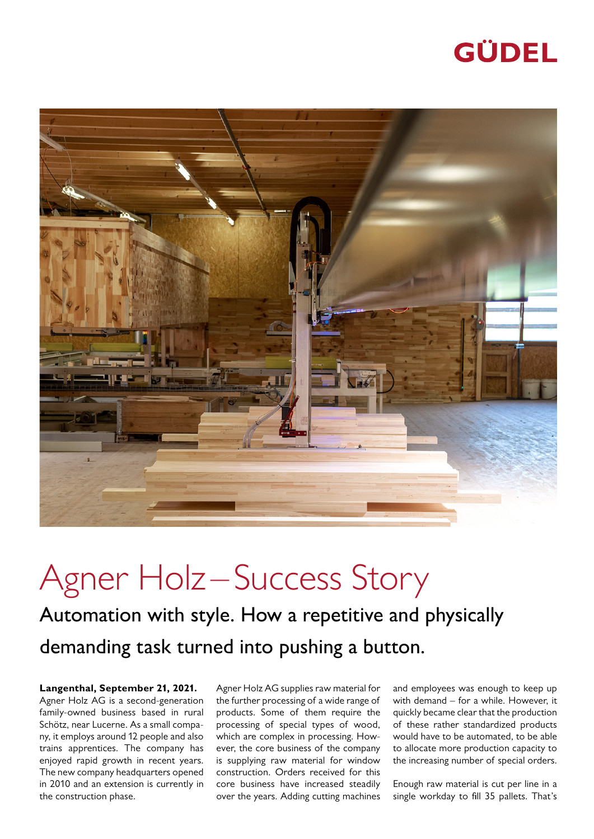## GÜDEL



## Agner Holz-Success Story

Automation with style. How a repetitive and physically demanding task turned into pushing a button.

**Langenthal, September 21, 2021.** Agner Holz AG is a second-generation family-owned business based in rural Schötz, near Lucerne. As a small company, it employs around 12 people and also trains apprentices. The company has enjoyed rapid growth in recent years. The new company headquarters opened in 2010 and an extension is currently in the construction phase.

Agner Holz AG supplies raw material for the further processing of a wide range of products. Some of them require the processing of special types of wood, which are complex in processing. However, the core business of the company is supplying raw material for window construction. Orders received for this core business have increased steadily over the years. Adding cutting machines

and employees was enough to keep up with demand – for a while. However, it quickly became clear that the production of these rather standardized products would have to be automated, to be able to allocate more production capacity to the increasing number of special orders.

Enough raw material is cut per line in a single workday to fill 35 pallets. That's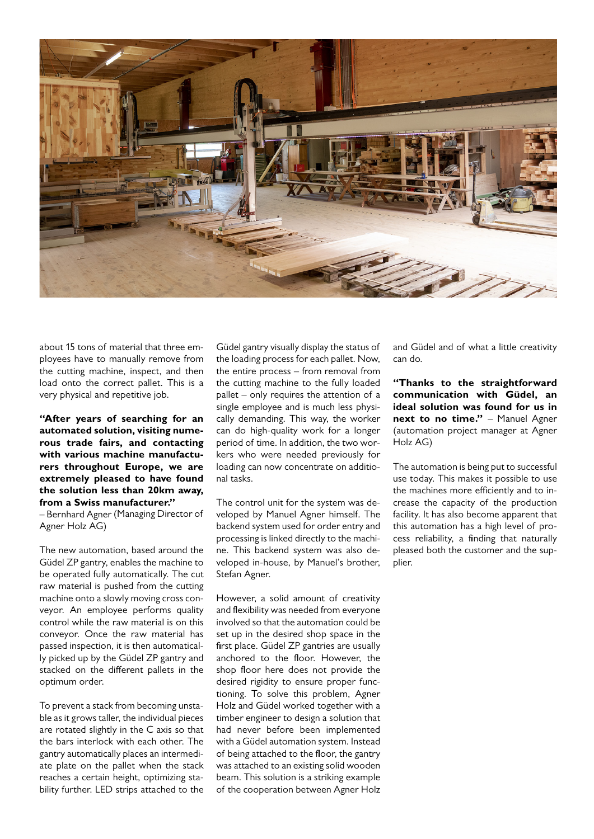

about 15 tons of material that three employees have to manually remove from the cutting machine, inspect, and then load onto the correct pallet. This is a very physical and repetitive job.

**"After years of searching for an automated solution, visiting numerous trade fairs, and contacting with various machine manufacturers throughout Europe, we are extremely pleased to have found the solution less than 20km away, from a Swiss manufacturer."** 

– Bernhard Agner (Managing Director of Agner Holz AG)

The new automation, based around the Güdel ZP gantry, enables the machine to be operated fully automatically. The cut raw material is pushed from the cutting machine onto a slowly moving cross conveyor. An employee performs quality control while the raw material is on this conveyor. Once the raw material has passed inspection, it is then automatically picked up by the Güdel ZP gantry and stacked on the different pallets in the optimum order.

To prevent a stack from becoming unstable as it grows taller, the individual pieces are rotated slightly in the C axis so that the bars interlock with each other. The gantry automatically places an intermediate plate on the pallet when the stack reaches a certain height, optimizing stability further. LED strips attached to the

Güdel gantry visually display the status of the loading process for each pallet. Now, the entire process – from removal from the cutting machine to the fully loaded pallet – only requires the attention of a single employee and is much less physically demanding. This way, the worker can do high-quality work for a longer period of time. In addition, the two workers who were needed previously for loading can now concentrate on additional tasks.

The control unit for the system was developed by Manuel Agner himself. The backend system used for order entry and processing is linked directly to the machine. This backend system was also developed in-house, by Manuel's brother, Stefan Agner.

However, a solid amount of creativity and flexibility was needed from everyone involved so that the automation could be set up in the desired shop space in the first place. Güdel ZP gantries are usually anchored to the floor. However, the shop floor here does not provide the desired rigidity to ensure proper functioning. To solve this problem, Agner Holz and Güdel worked together with a timber engineer to design a solution that had never before been implemented with a Güdel automation system. Instead of being attached to the floor, the gantry was attached to an existing solid wooden beam. This solution is a striking example of the cooperation between Agner Holz

and Güdel and of what a little creativity can do.

**"Thanks to the straightforward communication with Güdel, an ideal solution was found for us in next to no time."** - Manuel Agner (automation project manager at Agner Holz AG)

The automation is being put to successful use today. This makes it possible to use the machines more efficiently and to increase the capacity of the production facility. It has also become apparent that this automation has a high level of process reliability, a finding that naturally pleased both the customer and the supplier.